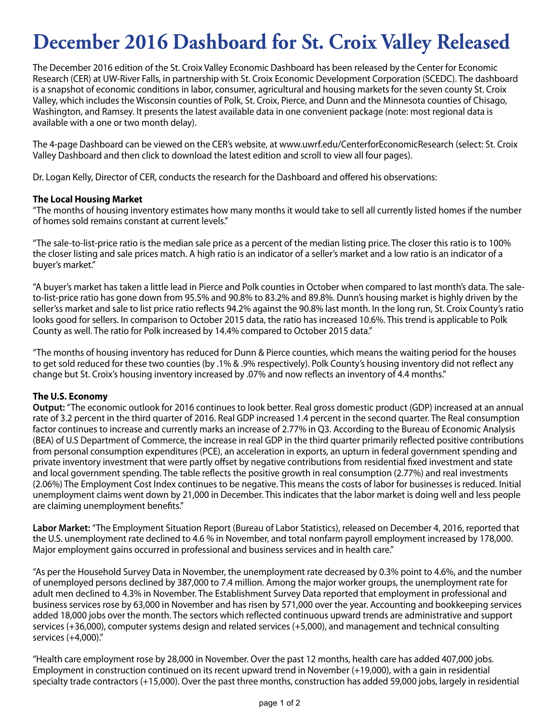# **December 2016 Dashboard for St. Croix Valley Released**

The December 2016 edition of the St. Croix Valley Economic Dashboard has been released by the Center for Economic Research (CER) at UW-River Falls, in partnership with St. Croix Economic Development Corporation (SCEDC). The dashboard is a snapshot of economic conditions in labor, consumer, agricultural and housing markets for the seven county St. Croix Valley, which includes the Wisconsin counties of Polk, St. Croix, Pierce, and Dunn and the Minnesota counties of Chisago, Washington, and Ramsey. It presents the latest available data in one convenient package (note: most regional data is available with a one or two month delay).

The 4-page Dashboard can be viewed on the CER's website, at www.uwrf.edu/CenterforEconomicResearch (select: St. Croix Valley Dashboard and then click to download the latest edition and scroll to view all four pages).

Dr. Logan Kelly, Director of CER, conducts the research for the Dashboard and offered his observations:

#### **The Local Housing Market**

"The months of housing inventory estimates how many months it would take to sell all currently listed homes if the number of homes sold remains constant at current levels."

"The sale-to-list-price ratio is the median sale price as a percent of the median listing price. The closer this ratio is to 100% the closer listing and sale prices match. A high ratio is an indicator of a seller's market and a low ratio is an indicator of a buyer's market."

"A buyer's market has taken a little lead in Pierce and Polk counties in October when compared to last month's data. The saleto-list-price ratio has gone down from 95.5% and 90.8% to 83.2% and 89.8%. Dunn's housing market is highly driven by the seller'ss market and sale to list price ratio reflects 94.2% against the 90.8% last month. In the long run, St. Croix County's ratio looks good for sellers. In comparison to October 2015 data, the ratio has increased 10.6%. This trend is applicable to Polk County as well. The ratio for Polk increased by 14.4% compared to October 2015 data."

"The months of housing inventory has reduced for Dunn & Pierce counties, which means the waiting period for the houses to get sold reduced for these two counties (by .1% & .9% respectively). Polk County's housing inventory did not reflect any change but St. Croix's housing inventory increased by .07% and now reflects an inventory of 4.4 months."

#### **The U.S. Economy**

**Output:** "The economic outlook for 2016 continues to look better. Real gross domestic product (GDP) increased at an annual rate of 3.2 percent in the third quarter of 2016. Real GDP increased 1.4 percent in the second quarter. The Real consumption factor continues to increase and currently marks an increase of 2.77% in Q3. According to the Bureau of Economic Analysis (BEA) of U.S Department of Commerce, the increase in real GDP in the third quarter primarily reflected positive contributions from personal consumption expenditures (PCE), an acceleration in exports, an upturn in federal government spending and private inventory investment that were partly offset by negative contributions from residential fixed investment and state and local government spending. The table reflects the positive growth in real consumption (2.77%) and real investments (2.06%) The Employment Cost Index continues to be negative. This means the costs of labor for businesses is reduced. Initial unemployment claims went down by 21,000 in December. This indicates that the labor market is doing well and less people are claiming unemployment benefits."

**Labor Market:** "The Employment Situation Report (Bureau of Labor Statistics), released on December 4, 2016, reported that the U.S. unemployment rate declined to 4.6 % in November, and total nonfarm payroll employment increased by 178,000. Major employment gains occurred in professional and business services and in health care."

"As per the Household Survey Data in November, the unemployment rate decreased by 0.3% point to 4.6%, and the number of unemployed persons declined by 387,000 to 7.4 million. Among the major worker groups, the unemployment rate for adult men declined to 4.3% in November. The Establishment Survey Data reported that employment in professional and business services rose by 63,000 in November and has risen by 571,000 over the year. Accounting and bookkeeping services added 18,000 jobs over the month. The sectors which reflected continuous upward trends are administrative and support services (+36,000), computer systems design and related services (+5,000), and management and technical consulting services (+4,000)."

"Health care employment rose by 28,000 in November. Over the past 12 months, health care has added 407,000 jobs. Employment in construction continued on its recent upward trend in November (+19,000), with a gain in residential specialty trade contractors (+15,000). Over the past three months, construction has added 59,000 jobs, largely in residential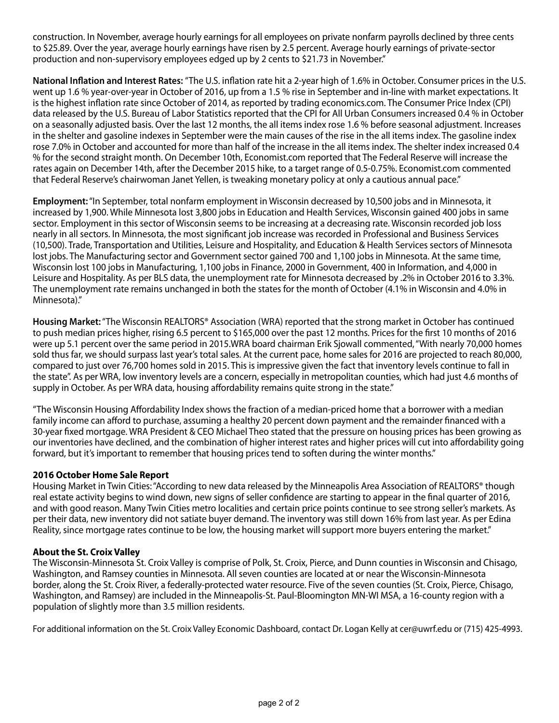construction. In November, average hourly earnings for all employees on private nonfarm payrolls declined by three cents to \$25.89. Over the year, average hourly earnings have risen by 2.5 percent. Average hourly earnings of private-sector production and non-supervisory employees edged up by 2 cents to \$21.73 in November."

**National Inflation and Interest Rates:** "The U.S. inflation rate hit a 2-year high of 1.6% in October. Consumer prices in the U.S. went up 1.6 % year-over-year in October of 2016, up from a 1.5 % rise in September and in-line with market expectations. It is the highest inflation rate since October of 2014, as reported by trading economics.com. The Consumer Price Index (CPI) data released by the U.S. Bureau of Labor Statistics reported that the CPI for All Urban Consumers increased 0.4 % in October on a seasonally adjusted basis. Over the last 12 months, the all items index rose 1.6 % before seasonal adjustment. Increases in the shelter and gasoline indexes in September were the main causes of the rise in the all items index. The gasoline index rose 7.0% in October and accounted for more than half of the increase in the all items index. The shelter index increased 0.4 % for the second straight month. On December 10th, Economist.com reported that The Federal Reserve will increase the rates again on December 14th, after the December 2015 hike, to a target range of 0.5-0.75%. Economist.com commented that Federal Reserve's chairwoman Janet Yellen, is tweaking monetary policy at only a cautious annual pace."

**Employment:** "In September, total nonfarm employment in Wisconsin decreased by 10,500 jobs and in Minnesota, it increased by 1,900. While Minnesota lost 3,800 jobs in Education and Health Services, Wisconsin gained 400 jobs in same sector. Employment in this sector of Wisconsin seems to be increasing at a decreasing rate. Wisconsin recorded job loss nearly in all sectors. In Minnesota, the most significant job increase was recorded in Professional and Business Services (10,500). Trade, Transportation and Utilities, Leisure and Hospitality, and Education & Health Services sectors of Minnesota lost jobs. The Manufacturing sector and Government sector gained 700 and 1,100 jobs in Minnesota. At the same time, Wisconsin lost 100 jobs in Manufacturing, 1,100 jobs in Finance, 2000 in Government, 400 in Information, and 4,000 in Leisure and Hospitality. As per BLS data, the unemployment rate for Minnesota decreased by .2% in October 2016 to 3.3%. The unemployment rate remains unchanged in both the states for the month of October (4.1% in Wisconsin and 4.0% in Minnesota)."

**Housing Market:** "The Wisconsin REALTORS® Association (WRA) reported that the strong market in October has continued to push median prices higher, rising 6.5 percent to \$165,000 over the past 12 months. Prices for the first 10 months of 2016 were up 5.1 percent over the same period in 2015.WRA board chairman Erik Sjowall commented, "With nearly 70,000 homes sold thus far, we should surpass last year's total sales. At the current pace, home sales for 2016 are projected to reach 80,000, compared to just over 76,700 homes sold in 2015. This is impressive given the fact that inventory levels continue to fall in the state". As per WRA, low inventory levels are a concern, especially in metropolitan counties, which had just 4.6 months of supply in October. As per WRA data, housing affordability remains quite strong in the state."

"The Wisconsin Housing Affordability Index shows the fraction of a median-priced home that a borrower with a median family income can afford to purchase, assuming a healthy 20 percent down payment and the remainder financed with a 30-year fixed mortgage. WRA President & CEO Michael Theo stated that the pressure on housing prices has been growing as our inventories have declined, and the combination of higher interest rates and higher prices will cut into affordability going forward, but it's important to remember that housing prices tend to soften during the winter months."

#### **2016 October Home Sale Report**

Housing Market in Twin Cities: "According to new data released by the Minneapolis Area Association of REALTORS® though real estate activity begins to wind down, new signs of seller confidence are starting to appear in the final quarter of 2016, and with good reason. Many Twin Cities metro localities and certain price points continue to see strong seller's markets. As per their data, new inventory did not satiate buyer demand. The inventory was still down 16% from last year. As per Edina Reality, since mortgage rates continue to be low, the housing market will support more buyers entering the market."

#### **About the St. Croix Valley**

The Wisconsin-Minnesota St. Croix Valley is comprise of Polk, St. Croix, Pierce, and Dunn counties in Wisconsin and Chisago, Washington, and Ramsey counties in Minnesota. All seven counties are located at or near the Wisconsin-Minnesota border, along the St. Croix River, a federally-protected water resource. Five of the seven counties (St. Croix, Pierce, Chisago, Washington, and Ramsey) are included in the Minneapolis-St. Paul-Bloomington MN-WI MSA, a 16-county region with a population of slightly more than 3.5 million residents.

For additional information on the St. Croix Valley Economic Dashboard, contact Dr. Logan Kelly at cer@uwrf.edu or (715) 425-4993.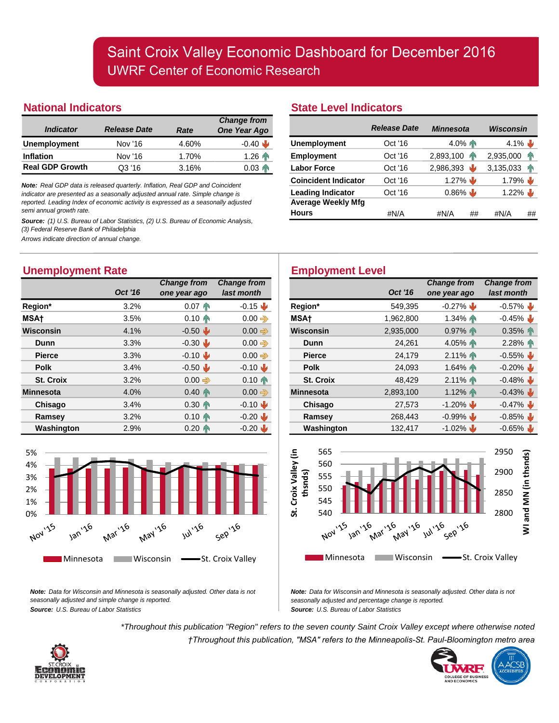## **National Indicators**

|                        |                     |       | <b>Change from</b>  |
|------------------------|---------------------|-------|---------------------|
| <b>Indicator</b>       | <b>Release Date</b> | Rate  | One Year Ago        |
| <b>Unemployment</b>    | Nov '16             | 4.60% | $-0.40$             |
| <b>Inflation</b>       | Nov '16             | 1.70% | 1.26 $\binom{1}{1}$ |
| <b>Real GDP Growth</b> | Q3 '16              | 3.16% | $0.03 \, \text{m}$  |

*Note: Real GDP data is released quarterly. Inflation, Real GDP and Coincident indicator are presented as a seasonally adjusted annual rate. Simple change is reported. Leading Index of economic activity is expressed as a seasonally adjusted semi annual growth rate.*

*Source: (1) U.S. Bureau of Labor Statistics, (2) U.S. Bureau of Economic Analysis, (3) Federal Reserve Bank of Philadelphia*

*Arrows indicate direction of annual change.*

## **Unemployment Rate**

|                  | Oct '16 | <b>Change from</b><br>one year ago | <b>Change from</b><br>last month |
|------------------|---------|------------------------------------|----------------------------------|
| Region*          | 3.2%    | $0.07 \, \text{m}$                 | $-0.15$                          |
| <b>MSAt</b>      | 3.5%    | $0.10 \, \text{m}$                 | $0.00 \Rightarrow$               |
| Wisconsin        | 4.1%    | $-0.50$                            | $0.00 \Rightarrow$               |
| Dunn             | 3.3%    | $-0.30$                            | $0.00 \Rightarrow$               |
| <b>Pierce</b>    | 3.3%    | $-0.10$                            | $0.00 \Rightarrow$               |
| <b>Polk</b>      | 3.4%    | $-0.50$                            | $-0.10$                          |
| St. Croix        | 3.2%    | $0.00 \Rightarrow$                 | $0.10 \, \text{m}$               |
| <b>Minnesota</b> | 4.0%    | $0.40 \, \text{m}$                 | $0.00 \Rightarrow$               |
| Chisago          | 3.4%    | $0.30 \, \text{m}$                 | $-0.10$                          |
| Ramsey           | 3.2%    | $0.10 \, \text{m}$                 | $-0.20$                          |
| Washington       | 2.9%    | $0.20 \, \text{m}$                 | $-0.20$                          |



*Note: Data for Wisconsin and Minnesota is seasonally adjusted. Other data is not seasonally adjusted and simple change is reported. Source: U.S. Bureau of Labor Statistics*

## **State Level Indicators**

|                             | <b>Release Date</b> | <b>Minnesota</b> | Wisconsin              |
|-----------------------------|---------------------|------------------|------------------------|
| <b>Unemployment</b>         | Oct '16             | $4.0\%$          | $4.1\%$                |
| <b>Employment</b>           | Oct '16             | 2,893,100<br>4N  | 2,935,000<br><b>AN</b> |
| <b>Labor Force</b>          | Oct '16             | 2,986,393<br>۱W  | 3,135,033<br>4N        |
| <b>Coincident Indicator</b> | $Oct$ '16           | $1.27\%$         | $1.79\%$               |
| <b>Leading Indicator</b>    | Oct '16             | $0.86\%$         | $1.22\%$               |
| <b>Average Weekly Mfg</b>   |                     |                  |                        |
| <b>Hours</b>                | #N/A                | #N/A<br>##       | #N/A<br>##             |

# **Employment Level**

| hange from:<br>last month |                  | Oct '16   | <b>Change from</b><br>one year ago | <b>Change from</b><br>last month |
|---------------------------|------------------|-----------|------------------------------------|----------------------------------|
| $-0.15$ $\sqrt{ }$        | Region*          | 549,395   | $-0.27\%$                          | $-0.57\%$                        |
| $0.00 \Rightarrow$        | MSA <sup>+</sup> | 1,962,800 | $1.34\%$                           | $-0.45\%$                        |
| $0.00 \Rightarrow$        | Wisconsin        | 2,935,000 | $0.97\%$                           | 0.35%                            |
| $0.00 \Rightarrow$        | Dunn             | 24,261    | 4.05%                              | 2.28%                            |
| $0.00 \Rightarrow$        | <b>Pierce</b>    | 24,179    | $2.11\%$                           | $-0.55\%$                        |
| $-0.10$                   | <b>Polk</b>      | 24,093    | $1.64\%$                           | $-0.20\%$                        |
| $0.10 \, \text{m}$        | St. Croix        | 48,429    | $2.11\%$                           | $-0.48\%$                        |
| $0.00 \Rightarrow$        | <b>Minnesota</b> | 2,893,100 | 1.12%                              | $-0.43\%$                        |
| $-0.10$                   | Chisago          | 27,573    | $-1.20\%$                          | $-0.47\%$                        |
| $-0.20$                   | Ramsey           | 268,443   | $-0.99\%$                          | $-0.85\%$                        |
| $-0.20$                   | Washington       | 132,417   | $-1.02\%$                          | $-0.65\%$                        |



*Note: Data for Wisconsin and Minnesota is seasonally adjusted. Other data is not seasonally adjusted and percentage change is reported. Source: U.S. Bureau of Labor Statistics*

*\*Throughout this publication "Region" refers to the seven county Saint Croix Valley except where otherwise noted †Throughout this publication, "MSA" refers to the Minneapolis-St. Paul-Bloomington metro area*



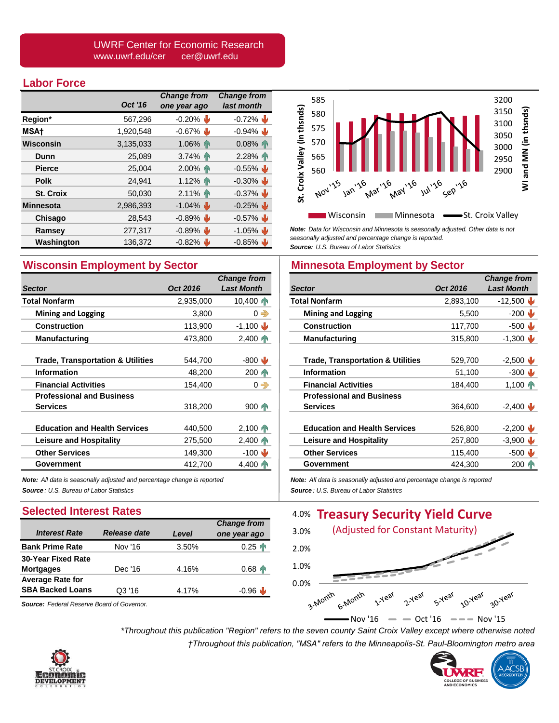#### [UWRF Center for Economic Research](http://www.uwrf.edu/cer/) www.uwrf.edu/cer cer@uwrf.edu

### **Labor Force**

|                  | Oct '16   | <b>Change from</b><br>one year ago | <b>Change from</b><br>last month |
|------------------|-----------|------------------------------------|----------------------------------|
| Region*          | 567,296   | $-0.20\%$                          | $-0.72\%$                        |
| <b>MSA</b> t     | 1,920,548 | $-0.67\%$                          | $-0.94\%$                        |
| Wisconsin        | 3,135,033 | 1.06%                              | $0.08\%$                         |
| Dunn             | 25,089    | $3.74\%$                           | 2.28%                            |
| <b>Pierce</b>    | 25,004    | $2.00\%$                           | $-0.55\%$                        |
| <b>Polk</b>      | 24,941    | 1.12%                              | $-0.30\%$                        |
| <b>St. Croix</b> | 50,030    | $2.11\%$                           | $-0.37\%$                        |
| <b>Minnesota</b> | 2,986,393 | $-1.04\%$                          | $-0.25\%$                        |
| Chisago          | 28,543    | $-0.89%$                           | $-0.57\%$                        |
| Ramsey           | 277,317   | $-0.89%$                           | $-1.05\%$                        |
| Washington       | 136.372   | $-0.82\%$                          | $-0.85\%$                        |

# **Wisconsin Employment by Sector**

|                                                     |           | <b>Change from</b> |
|-----------------------------------------------------|-----------|--------------------|
| <b>Sector</b>                                       | Oct 2016  | <b>Last Month</b>  |
| <b>Total Nonfarm</b>                                | 2,935,000 | 10,400             |
| <b>Mining and Logging</b>                           | 3,800     | $0 \Rightarrow$    |
| <b>Construction</b>                                 | 113,900   | $-1,100$           |
| <b>Manufacturing</b>                                | 473,800   | $2,400$ $\bullet$  |
| <b>Trade, Transportation &amp; Utilities</b>        | 544,700   | $-800$ W           |
| <b>Information</b>                                  | 48.200    | $200 \, \text{m}$  |
| <b>Financial Activities</b>                         | 154.400   | $0 \Rightarrow$    |
| <b>Professional and Business</b><br><b>Services</b> | 318,200   | $900 -$            |
| <b>Education and Health Services</b>                | 440,500   | $2,100$ T          |
| <b>Leisure and Hospitality</b>                      | 275,500   | $2,400$ $\bullet$  |
| <b>Other Services</b>                               | 149,300   | $-100$ W           |
| Government                                          | 412,700   | 4,400 T            |

*Note: All data is seasonally adjusted and percentage change is reported Source : U.S. Bureau of Labor Statistics*

## **Selected Interest Rates**

| <b>Interest Rate</b>      | Release date | Level | <b>Change from</b><br>one year ago |
|---------------------------|--------------|-------|------------------------------------|
| <b>Bank Prime Rate</b>    | Nov '16      | 3.50% | $0.25$ $\binom{1}{1}$              |
| <b>30-Year Fixed Rate</b> |              |       |                                    |
| <b>Mortgages</b>          | Dec '16      | 4.16% | $0.68$ $\binom{1}{1}$              |
| <b>Average Rate for</b>   |              |       |                                    |
| <b>SBA Backed Loans</b>   | Q3'16        | 4.17% | $-0.96$                            |





*Note: Data for Wisconsin and Minnesota is seasonally adjusted. Other data is not seasonally adjusted and percentage change is reported. Source: U.S. Bureau of Labor Statistics*

# **Minnesota Employment by Sector**

|                                              |           | <b>Change from</b> |
|----------------------------------------------|-----------|--------------------|
| <b>Sector</b>                                | Oct 2016  | <b>Last Month</b>  |
| <b>Total Nonfarm</b>                         | 2,893,100 | $-12,500 \; \psi$  |
| <b>Mining and Logging</b>                    | 5,500     | $-200$             |
| Construction                                 | 117,700   | $-500$             |
| <b>Manufacturing</b>                         | 315,800   | $-1,300$           |
|                                              |           |                    |
| <b>Trade, Transportation &amp; Utilities</b> | 529,700   | $-2,500$           |
| <b>Information</b>                           | 51,100    | $-300$ $\vee$      |
| <b>Financial Activities</b>                  | 184,400   | $1,100$ $\bullet$  |
| <b>Professional and Business</b>             |           |                    |
| <b>Services</b>                              | 364,600   | $-2,400$           |
|                                              |           |                    |
| <b>Education and Health Services</b>         | 526,800   | $-2,200$           |
| <b>Leisure and Hospitality</b>               | 257,800   | $-3,900$           |
| <b>Other Services</b>                        | 115,400   | $-500$             |
| Government                                   | 424,300   | $200 -$            |
|                                              |           |                    |

*Note: All data is seasonally adjusted and percentage change is reported Source : U.S. Bureau of Labor Statistics*



Nov '16  $-$  Oct '16  $-$  Nov '15

*\*Throughout this publication "Region" refers to the seven county Saint Croix Valley except where otherwise noted*

*†Throughout this publication, "MSA" refers to the Minneapolis-St. Paul-Bloomington metro area*



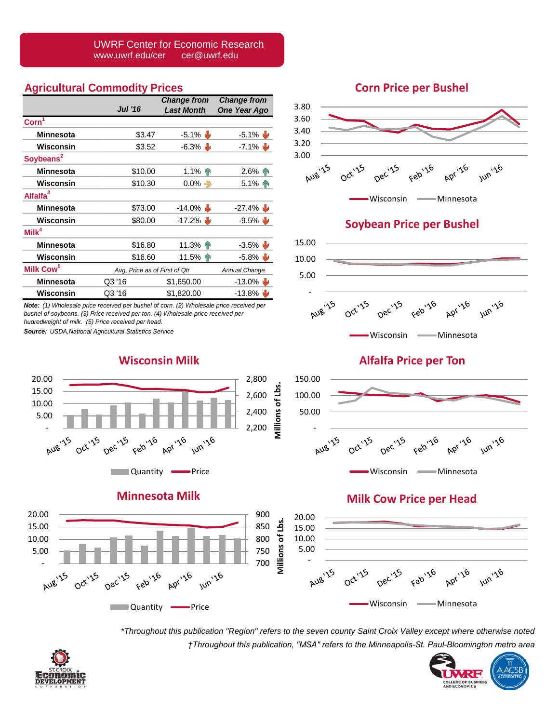[UWRF Center for Economic Research](http://www.uwrf.edu/cer/) www.uwrf.edu/cer cer@uwrf.edu

#### **Agricultural Commodity Prices**

|                       |                | <b>Change from</b>            | <b>Change from</b> |
|-----------------------|----------------|-------------------------------|--------------------|
|                       | <b>Jul '16</b> | <b>Last Month</b>             | One Year Ago       |
| $\text{Corn}^1$       |                |                               |                    |
| <b>Minnesota</b>      | \$3.47         | $-5.1\%$                      | $-5.1\%$           |
| Wisconsin             | \$3.52         | $-6.3\%$                      | $-7.1\%$           |
| Soybeans <sup>2</sup> |                |                               |                    |
| <b>Minnesota</b>      | \$10.00        | 1.1%                          | $2.6\%$ T          |
| Wisconsin             | \$10.30        | $0.0\% \Rightarrow$           | $5.1\%$ T          |
| Alfalfa <sup>3</sup>  |                |                               |                    |
| <b>Minnesota</b>      | \$73.00        | $-14.0\%$                     | $-27.4\%$          |
| Wisconsin             | \$80.00        | $-17.2\%$                     | $-9.5\%$           |
| $M$ ilk <sup>4</sup>  |                |                               |                    |
| <b>Minnesota</b>      | \$16.80        | 11.3%                         | $-3.5\%$           |
| Wisconsin             | \$16.60        | 11.5% $\sim$                  | $-5.8\%$           |
| Milk Cow <sup>5</sup> |                | Avg. Price as of First of Qtr |                    |
| <b>Minnesota</b>      | Q3 '16         | \$1,650.00                    | $-13.0\%$          |
| Wisconsin             | Q3 '16         | \$1,820.00                    | $-13.8\%$          |

*Note: (1) Wholesale price received per bushel of corn. (2) Wholesale price received per bushel of soybeans. (3) Price received per ton. (4) Wholesale price received per hudredweight of milk. (5) Price received per head.* 

*Source: USDA,National Agricultural Statistics Service*

#### **Wisconsin Milk**



#### **Minnesota Milk**



## **Corn Price per Bushel**



Wisconsin - Minnesota

# **Soybean Price per Bushel**



**Alfalfa Price per Ton**



# **Milk Cow Price per Head**



*\*Throughout this publication "Region" refers to the seven county Saint Croix Valley except where otherwise noted †Throughout this publication, "MSA" refers to the Minneapolis-St. Paul-Bloomington metro area*